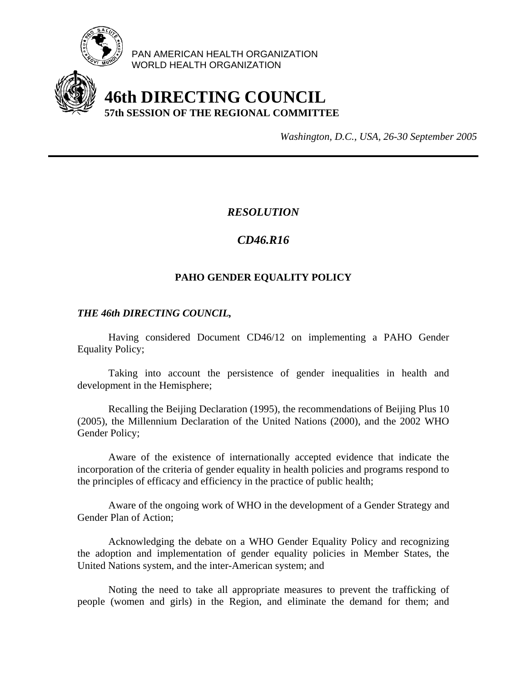

PAN AMERICAN HEALTH ORGANIZATION WORLD HEALTH ORGANIZATION

# **46th DIRECTING COUNCIL 57th SESSION OF THE REGIONAL COMMITTEE**

*Washington, D.C., USA, 26-30 September 2005*

### *RESOLUTION*

## *CD46.R16*

## **PAHO GENDER EQUALITY POLICY**

#### *THE 46th DIRECTING COUNCIL,*

 Having considered Document CD46/12 on implementing a PAHO Gender Equality Policy;

 Taking into account the persistence of gender inequalities in health and development in the Hemisphere;

 Recalling the Beijing Declaration (1995), the recommendations of Beijing Plus 10 (2005), the Millennium Declaration of the United Nations (2000), and the 2002 WHO Gender Policy;

 Aware of the existence of internationally accepted evidence that indicate the incorporation of the criteria of gender equality in health policies and programs respond to the principles of efficacy and efficiency in the practice of public health;

 Aware of the ongoing work of WHO in the development of a Gender Strategy and Gender Plan of Action;

 Acknowledging the debate on a WHO Gender Equality Policy and recognizing the adoption and implementation of gender equality policies in Member States, the United Nations system, and the inter-American system; and

 Noting the need to take all appropriate measures to prevent the trafficking of people (women and girls) in the Region, and eliminate the demand for them; and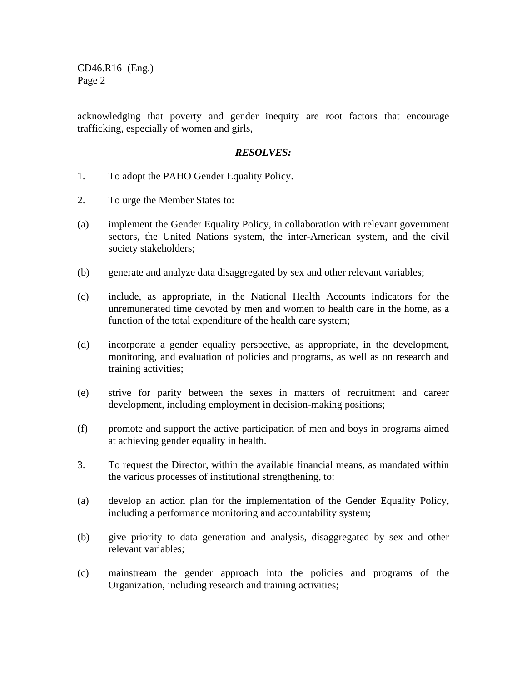CD46.R16 (Eng.) Page 2

acknowledging that poverty and gender inequity are root factors that encourage trafficking, especially of women and girls,

#### *RESOLVES:*

- 1. To adopt the PAHO Gender Equality Policy.
- 2. To urge the Member States to:
- (a) implement the Gender Equality Policy, in collaboration with relevant government sectors, the United Nations system, the inter-American system, and the civil society stakeholders;
- (b) generate and analyze data disaggregated by sex and other relevant variables;
- (c) include, as appropriate, in the National Health Accounts indicators for the unremunerated time devoted by men and women to health care in the home, as a function of the total expenditure of the health care system;
- (d) incorporate a gender equality perspective, as appropriate, in the development, monitoring, and evaluation of policies and programs, as well as on research and training activities;
- (e) strive for parity between the sexes in matters of recruitment and career development, including employment in decision-making positions;
- (f) promote and support the active participation of men and boys in programs aimed at achieving gender equality in health.
- 3. To request the Director, within the available financial means, as mandated within the various processes of institutional strengthening, to:
- (a) develop an action plan for the implementation of the Gender Equality Policy, including a performance monitoring and accountability system;
- (b) give priority to data generation and analysis, disaggregated by sex and other relevant variables;
- (c) mainstream the gender approach into the policies and programs of the Organization, including research and training activities;